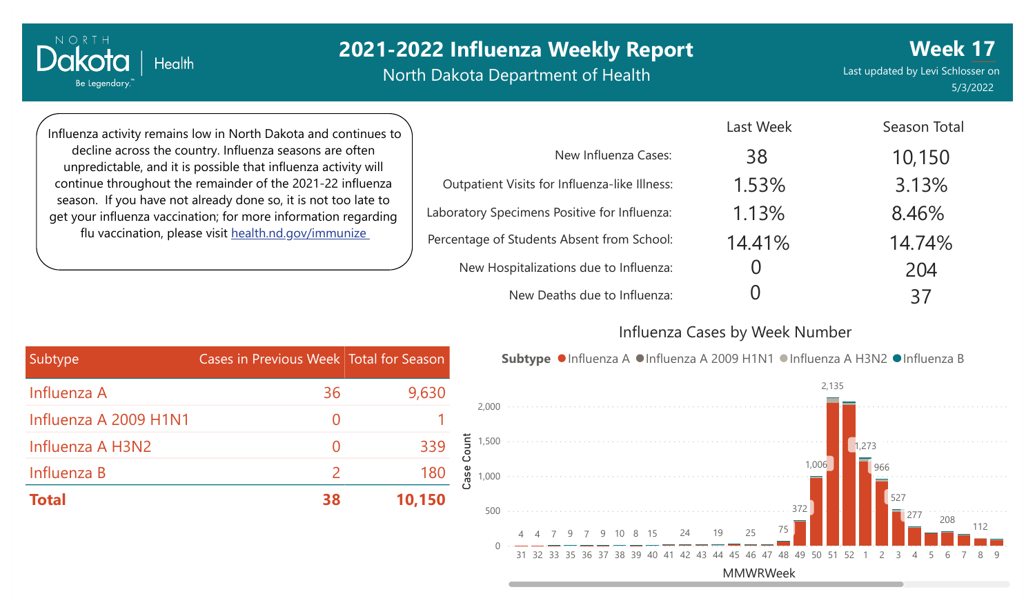# **2021-2022 Influenza Weekly Report**

North Dakota Department of Health

Last updated by Levi Schlosser on 5/3/2022 **Week 17**

Influenza activity remains low in North Dakota and continues to decline across the country. Influenza seasons are often unpredictable, and it is possible that influenza activity will continue throughout the remainder of the 2021-22 influenza season. If you have not already done so, it is not too late to get your influenza vaccination; for more information regarding flu vaccination, please visit [health.nd.gov/immunize](http://health.nd.gov/immunize)

**Health** 

NORTH

Dakota

Be Legendary.

|                                               | Last Week | Season Total |
|-----------------------------------------------|-----------|--------------|
| New Influenza Cases:                          | 38        | 10,150       |
| Outpatient Visits for Influenza-like Illness: | 1.53%     | 3.13%        |
| Laboratory Specimens Positive for Influenza:  | 1.13%     | 8.46%        |
| Percentage of Students Absent from School:    | 14.41%    | 14.74%       |
| New Hospitalizations due to Influenza:        | ( )       | 204          |
| New Deaths due to Influenza:                  |           | 37           |

#### Influenza Cases by Week Number



| Subtype               | Cases in Previous Week Total for Season |        |
|-----------------------|-----------------------------------------|--------|
| Influenza A           | 36                                      | 9,630  |
| Influenza A 2009 H1N1 |                                         |        |
| Influenza A H3N2      |                                         | 339    |
| Influenza B           | $\mathcal{P}$                           | 180    |
| <b>Total</b>          | 38                                      | 10,150 |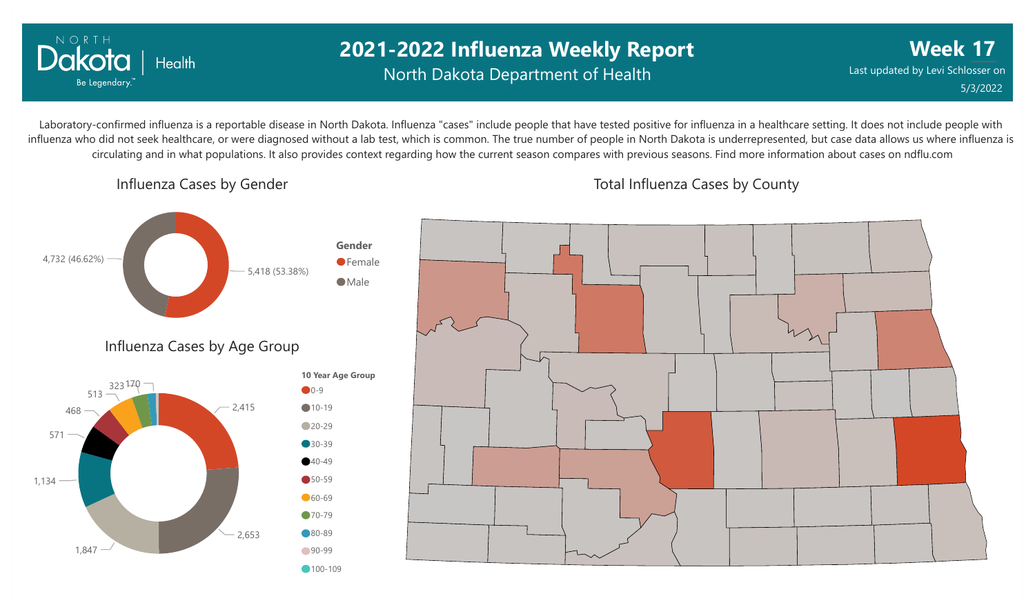

## **2021-2022 Influenza Weekly Report** North Dakota Department of Health

**Week 17** Last updated by Levi Schlosser on 5/3/2022

Laboratory-confirmed influenza is a reportable disease in North Dakota. Influenza "cases" include people that have tested positive for influenza in a healthcare setting. It does not include people with influenza who did not seek healthcare, or were diagnosed without a lab test, which is common. The true number of people in North Dakota is underrepresented, but case data allows us where influenza is circulating and in what populations. It also provides context regarding how the current season compares with previous seasons. Find more information about cases on ndflu.com

Influenza Cases by Gender



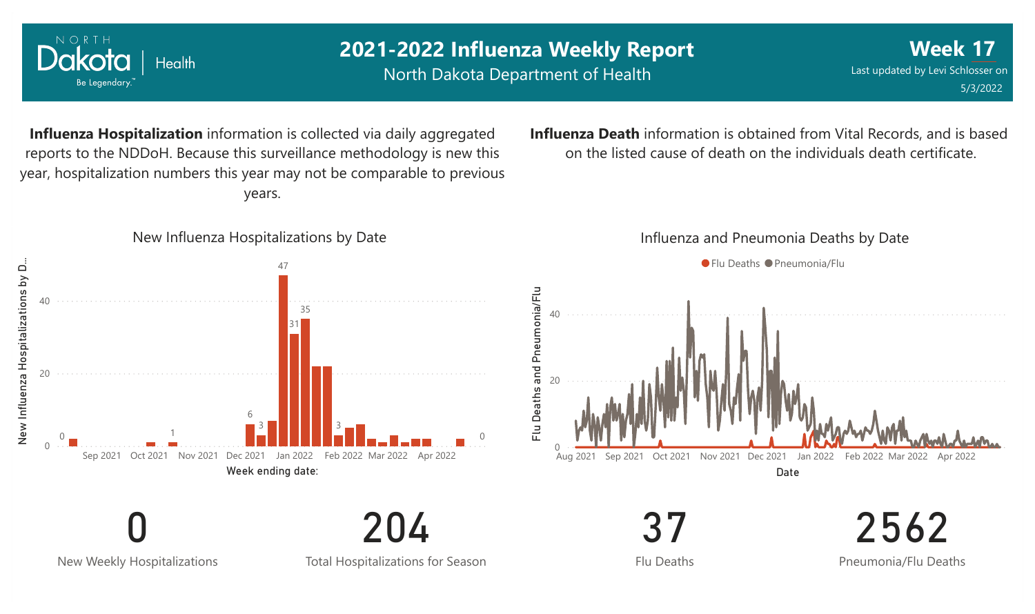

New Weekly Hospitalizations

Total Hospitalizations for Season

Flu Deaths

2562 Pneumonia/Flu Deaths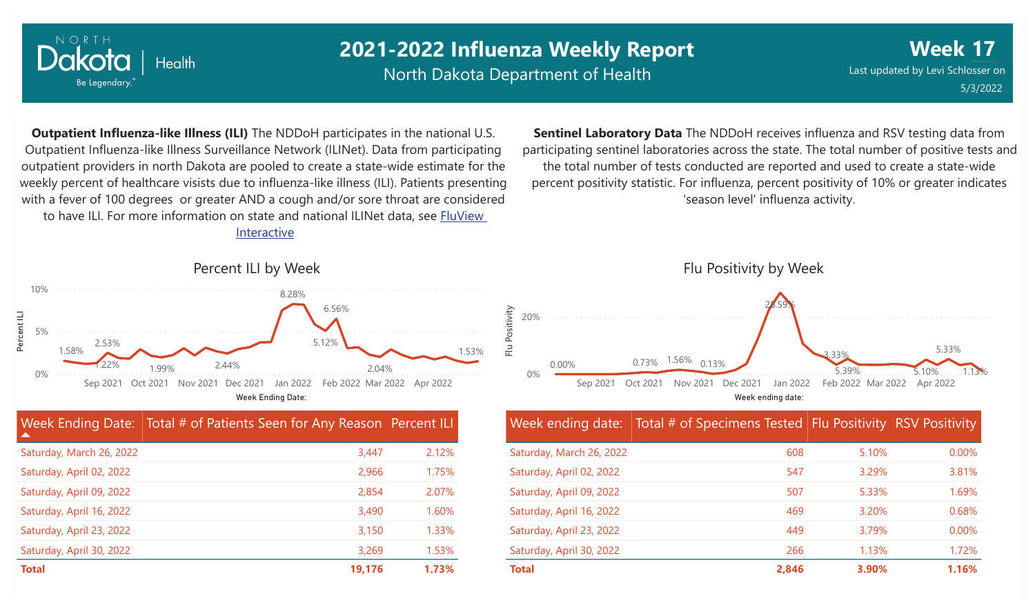

0%

5%

Percent ILI

10%

# **2021-2022 Influenza Weekly Report**

North Dakota Department of Health

Saturday, April 23, 2022 Saturday, April 30, 2022

**Week** Last updated by Levi Schlosser on **17** 5/3/2022

**Outpatient Influenza-like Illness (ILI)** The NDDoH participates in the national U.S. Outpatient Influenza-like Illness Surveillance Network (ILINet). Data from participating outpatient providers in north Dakota are pooled to create a state-wide estimate for the weekly percent of healthcare visists due to influenza-like illness (ILI). Patients presenting with a fever of 100 degrees or greater AND a cough and/or sore throat are considered to have ILI. For more information [on state and national ILINet data, see FluView](http://fluview%20interactive/) Interactive

**Sentinel Laboratory Data** The NDDoH receives influenza and RSV testing data from participating sentinel laboratories across the state. The total number of positive tests and the total number of tests conducted are reported and used to create a state-wide percent positivity statistic. For influenza, percent positivity of 10% or greater indicates 'season level' influenza activity.



#### Week Ending Date: Total # of Patients Seen for Any Reason Percent ILI  $\blacktriangle$ Saturday, March 26, 2022 Saturday, April 02, 2022 Saturday, April 09, 2022 Saturday, April 16, 2022 Saturday, April 23, 2022 Saturday, April 30, 2022 3,447 2,966 2,854 3,490 3,150 3,269 2.12% 1.75% 2.07% 1.60% 1.33% 1.53% **Total 19,176 1.73%**

#### Week ending date: Total # of Specimens Tested Flu Positivity RSV Positivity Saturday, March 26, 2022 Saturday, April 02, 2022 Saturday, April 09, 2022 Saturday, April 16, 2022 608 547 507 469 5.10% 3.29% 5.33% 3.20% 0.00% 3.81% 1.69% 0.68%

**Total 2,846 3.90% 1.16%**

449 266 3.79% 1.13% 0.00% 1.72%

2.44%

1.99%

2.53%

Percent ILI by Week

8.28%

6.56%

5.12%

2.04%

Week Ending Date:

Sep 2021 Oct 2021 Nov 2021 Dec 2021 Jan 2022 Feb 2022 Mar 2022 Apr 2022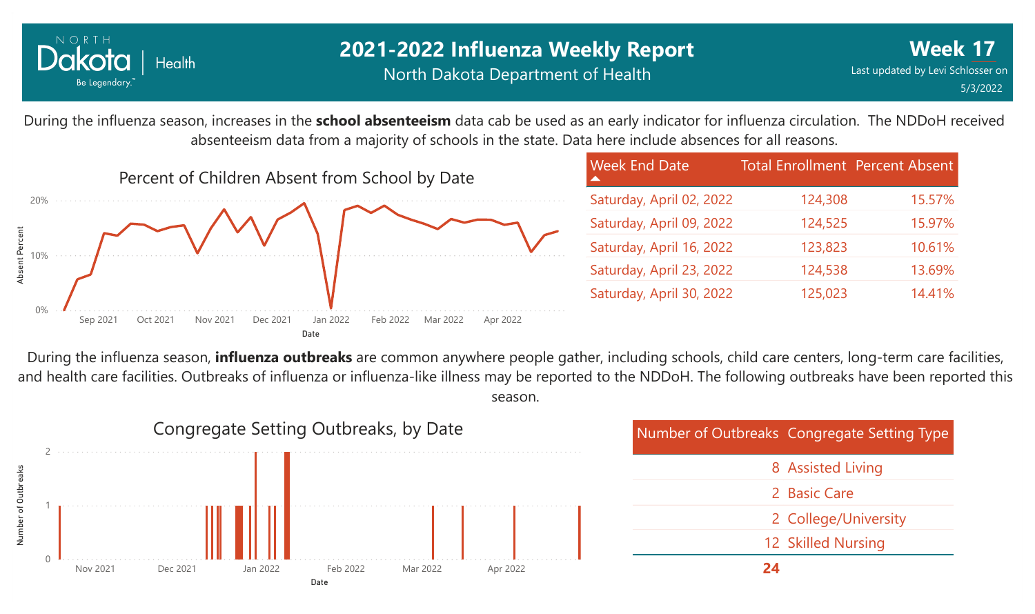

15.57%

15.97%

10.61%

13.69%

14.41%

During the influenza season, increases in the **school absenteeism** data cab be used as an early indicator for influenza circulation. The NDDoH received absenteeism data from a majority of schools in the state. Data here include absences for all reasons.



During the influenza season, **influenza outbreaks** are common anywhere people gather, including schools, child care centers, long-term care facilities, and health care facilities. Outbreaks of influenza or influenza-like illness may be reported to the NDDoH. The following outbreaks have been reported this season.

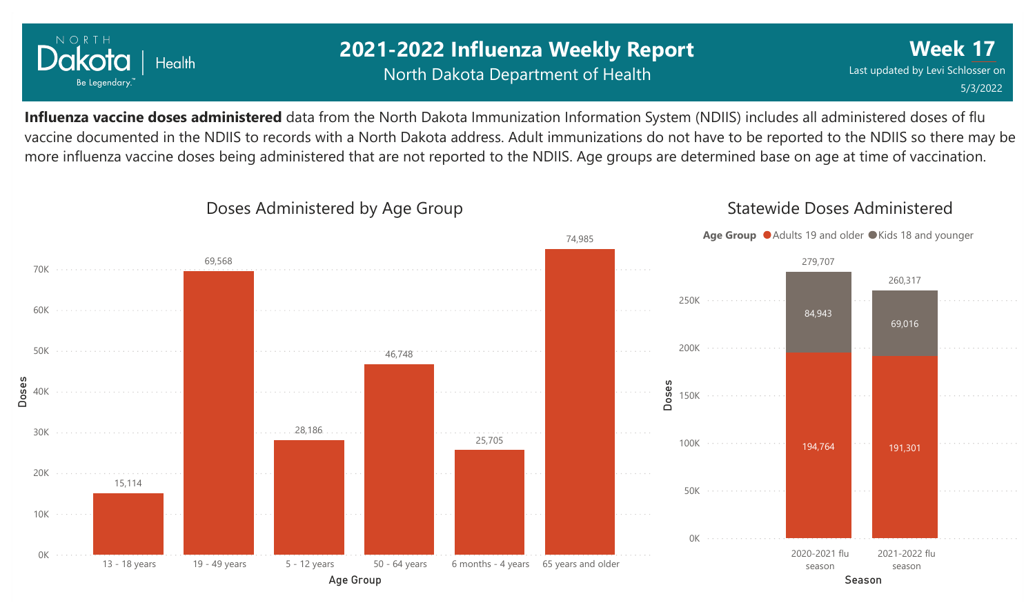

## **2021-2022 Influenza Weekly Report** North Dakota Department of Health

**Week 17** Last updated by Levi Schlosser on 5/3/2022

**Influenza vaccine doses administered** data from the North Dakota Immunization Information System (NDIIS) includes all administered doses of flu vaccine documented in the NDIIS to records with a North Dakota address. Adult immunizations do not have to be reported to the NDIIS so there may be more influenza vaccine doses being administered that are not reported to the NDIIS. Age groups are determined base on age at time of vaccination.



### Doses Administered by Age Group

Statewide Doses Administered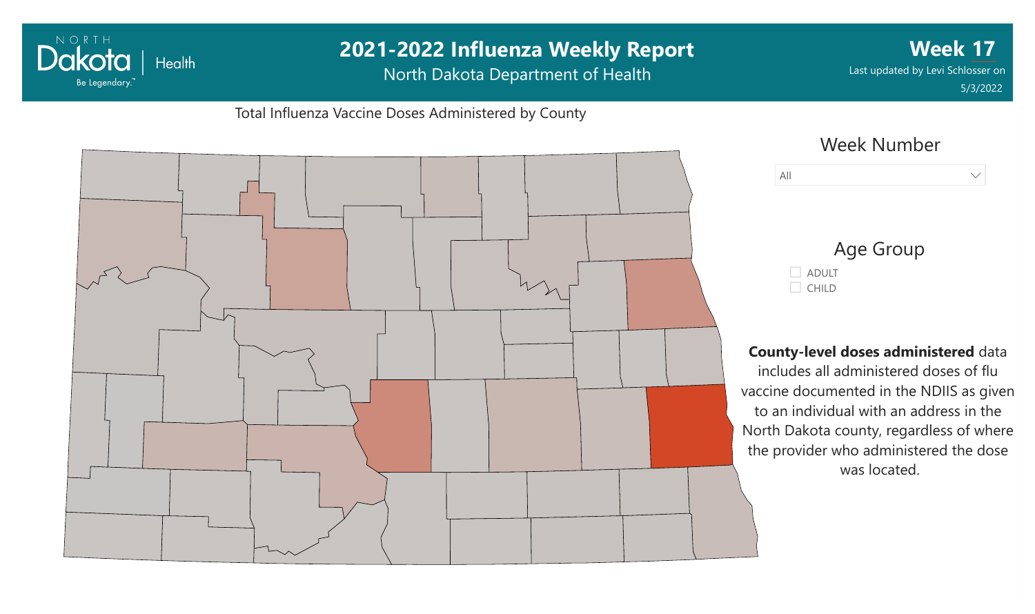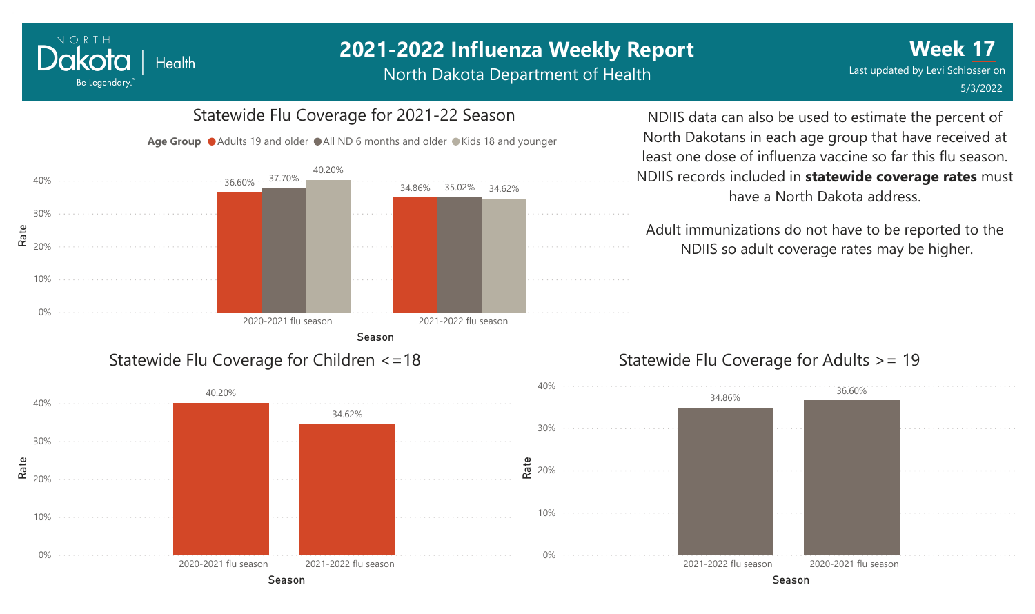# **2021-2022 Influenza Weekly Report**

North Dakota Department of Health

#### 0% 10%  $\frac{\texttt{ae}}{\texttt{20\%}}$ 30% 40% Season 2020-2021 flu season 2021-2022 flu season 36.60% 3*1.1*0% 34.86% 34.86% 37.70% 35.02% 40.20% 34.62% Age Group ● Adults 19 and older ● All ND 6 months and older ● Kids 18 and younger Statewide Flu Coverage for Children <=18

NORTH

Dakota

Be Legendary.

Health

# Statewide Flu Coverage for 2021-22 Season

NDIIS data can also be used to estimate the percent of North Dakotans in each age group that have received at least one dose of influenza vaccine so far this flu season. NDIIS records included in **statewide coverage rates** must have a North Dakota address.

Adult immunizations do not have to be reported to the NDIIS so adult coverage rates may be higher.

#### Statewide Flu Coverage for Adults >= 19